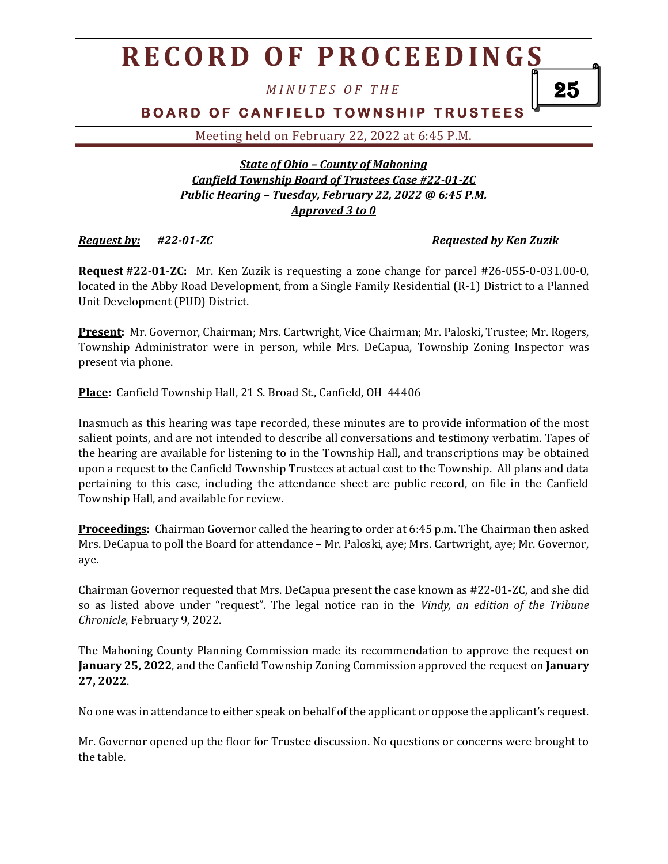# **R E C O R D O F P R O C E E D I N G S**

*M I N U T E S O F T H E*

# **BOARD OF CANFIELD TOWNSHIP TRUSTEES**

Meeting held on February 22, 2022 at 6:45 P.M.

#### *State of Ohio – County of Mahoning Canfield Township Board of Trustees Case #22-01-ZC Public Hearing – Tuesday, February 22, 2022 @ 6:45 P.M. Approved 3 to 0*

### *Request by: #22-01-ZC Requested by Ken Zuzik*

25

**Request #22-01-ZC:** Mr. Ken Zuzik is requesting a zone change for parcel #26-055-0-031.00-0, located in the Abby Road Development, from a Single Family Residential (R-1) District to a Planned Unit Development (PUD) District.

**Present:** Mr. Governor, Chairman; Mrs. Cartwright, Vice Chairman; Mr. Paloski, Trustee; Mr. Rogers, Township Administrator were in person, while Mrs. DeCapua, Township Zoning Inspector was present via phone.

**Place:** Canfield Township Hall, 21 S. Broad St., Canfield, OH 44406

Inasmuch as this hearing was tape recorded, these minutes are to provide information of the most salient points, and are not intended to describe all conversations and testimony verbatim. Tapes of the hearing are available for listening to in the Township Hall, and transcriptions may be obtained upon a request to the Canfield Township Trustees at actual cost to the Township. All plans and data pertaining to this case, including the attendance sheet are public record, on file in the Canfield Township Hall, and available for review.

**Proceedings:** Chairman Governor called the hearing to order at 6:45 p.m. The Chairman then asked Mrs. DeCapua to poll the Board for attendance – Mr. Paloski, aye; Mrs. Cartwright, aye; Mr. Governor, aye.

Chairman Governor requested that Mrs. DeCapua present the case known as #22-01-ZC, and she did so as listed above under "request". The legal notice ran in the *Vindy, an edition of the Tribune Chronicle*, February 9, 2022.

The Mahoning County Planning Commission made its recommendation to approve the request on **January 25, 2022**, and the Canfield Township Zoning Commission approved the request on **January 27, 2022**.

No one was in attendance to either speak on behalf of the applicant or oppose the applicant's request.

Mr. Governor opened up the floor for Trustee discussion. No questions or concerns were brought to the table.